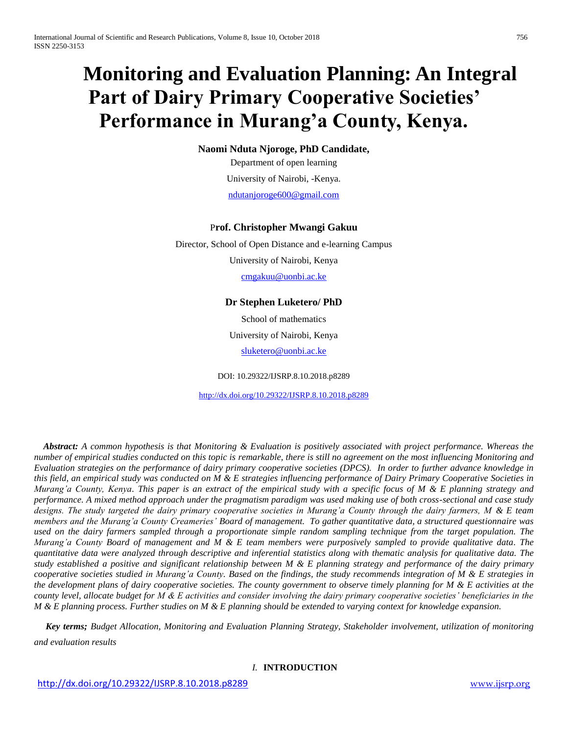# **Monitoring and Evaluation Planning: An Integral Part of Dairy Primary Cooperative Societies' Performance in Murang'a County, Kenya.**

**Naomi Nduta Njoroge, PhD Candidate,**

Department of open learning University of Nairobi, -Kenya. [ndutanjoroge600@gmail.com](mailto:ndutanjoroge600@gmail.com)

# P**rof. Christopher Mwangi Gakuu**

Director, School of Open Distance and e-learning Campus University of Nairobi, Kenya [cmgakuu@uonbi.ac.ke](mailto:cmgakuu@uonbi.ac.ke)

# **Dr Stephen Luketero/ PhD**

School of mathematics University of Nairobi, Kenya [sluketero@uonbi.ac.ke](mailto:sluketero@uonbi.ac.ke)

DOI: 10.29322/IJSRP.8.10.2018.p8289

<http://dx.doi.org/10.29322/IJSRP.8.10.2018.p8289>

 *Abstract: A common hypothesis is that Monitoring & Evaluation is positively associated with project performance. Whereas the number of empirical studies conducted on this topic is remarkable, there is still no agreement on the most influencing Monitoring and Evaluation strategies on the performance of dairy primary cooperative societies (DPCS). In order to further advance knowledge in this field, an empirical study was conducted on M & E strategies influencing performance of Dairy Primary Cooperative Societies in Murang'a County, Kenya. This paper is an extract of the empirical study with a specific focus of M & E planning strategy and performance. A mixed method approach under the pragmatism paradigm was used making use of both cross-sectional and case study designs. The study targeted the dairy primary cooperative societies in Murang'a County through the dairy farmers, M & E team members and the Murang'a County Creameries' Board of management. To gather quantitative data, a structured questionnaire was used on the dairy farmers sampled through a proportionate simple random sampling technique from the target population. The Murang'a County Board of management and M & E team members were purposively sampled to provide qualitative data. The quantitative data were analyzed through descriptive and inferential statistics along with thematic analysis for qualitative data. The study established a positive and significant relationship between M & E planning strategy and performance of the dairy primary cooperative societies studied in Murang'a County. Based on the findings, the study recommends integration of M & E strategies in the development plans of dairy cooperative societies. The county government to observe timely planning for M & E activities at the county level, allocate budget for M & E activities and consider involving the dairy primary cooperative societies' beneficiaries in the M & E planning process. Further studies on M & E planning should be extended to varying context for knowledge expansion.*

 *Key terms; Budget Allocation, Monitoring and Evaluation Planning Strategy, Stakeholder involvement, utilization of monitoring and evaluation results*

# *I.* **INTRODUCTION**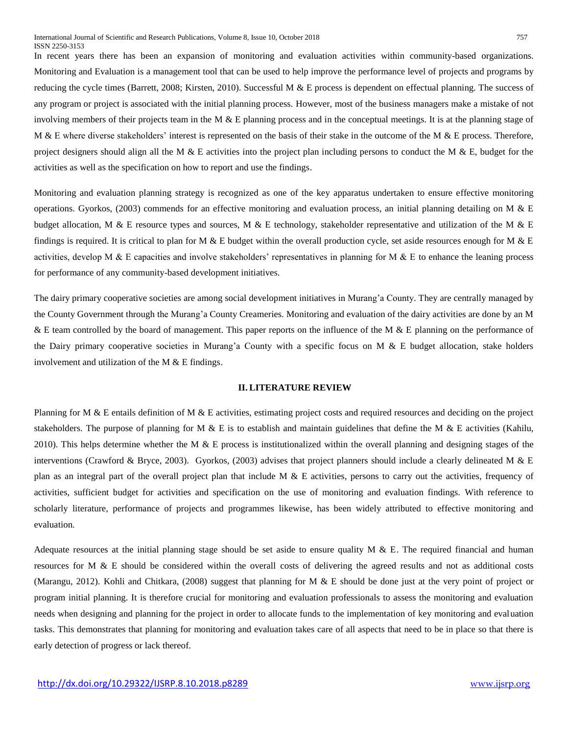In recent years there has been an expansion of monitoring and evaluation activities within community-based organizations. Monitoring and Evaluation is a management tool that can be used to help improve the performance level of projects and programs by reducing the cycle times (Barrett, 2008; Kirsten, 2010). Successful M & E process is dependent on effectual planning. The success of any program or project is associated with the initial planning process. However, most of the business managers make a mistake of not involving members of their projects team in the M & E planning process and in the conceptual meetings. It is at the planning stage of M & E where diverse stakeholders' interest is represented on the basis of their stake in the outcome of the M  $\&$  E process. Therefore, project designers should align all the M  $\&$  E activities into the project plan including persons to conduct the M  $\&$  E, budget for the activities as well as the specification on how to report and use the findings.

Monitoring and evaluation planning strategy is recognized as one of the key apparatus undertaken to ensure effective monitoring operations. Gyorkos, (2003) commends for an effective monitoring and evaluation process, an initial planning detailing on M & E budget allocation, M & E resource types and sources, M & E technology, stakeholder representative and utilization of the M & E findings is required. It is critical to plan for M & E budget within the overall production cycle, set aside resources enough for M & E activities, develop M  $\&$  E capacities and involve stakeholders' representatives in planning for M  $\&$  E to enhance the leaning process for performance of any community-based development initiatives.

The dairy primary cooperative societies are among social development initiatives in Murang'a County. They are centrally managed by the County Government through the Murang'a County Creameries. Monitoring and evaluation of the dairy activities are done by an M & E team controlled by the board of management. This paper reports on the influence of the M & E planning on the performance of the Dairy primary cooperative societies in Murang'a County with a specific focus on M  $\&$  E budget allocation, stake holders involvement and utilization of the M  $&$  E findings.

## **II. LITERATURE REVIEW**

Planning for M & E entails definition of M & E activities, estimating project costs and required resources and deciding on the project stakeholders. The purpose of planning for M  $\&$  E is to establish and maintain guidelines that define the M  $\&$  E activities (Kahilu, 2010). This helps determine whether the M  $\&$  E process is institutionalized within the overall planning and designing stages of the interventions (Crawford & Bryce, 2003). Gyorkos, (2003) advises that project planners should include a clearly delineated M & E plan as an integral part of the overall project plan that include M & E activities, persons to carry out the activities, frequency of activities, sufficient budget for activities and specification on the use of monitoring and evaluation findings. With reference to scholarly literature, performance of projects and programmes likewise, has been widely attributed to effective monitoring and evaluation.

Adequate resources at the initial planning stage should be set aside to ensure quality  $M \& E$ . The required financial and human resources for M & E should be considered within the overall costs of delivering the agreed results and not as additional costs (Marangu, 2012). Kohli and Chitkara, (2008) suggest that planning for M & E should be done just at the very point of project or program initial planning. It is therefore crucial for monitoring and evaluation professionals to assess the monitoring and evaluation needs when designing and planning for the project in order to allocate funds to the implementation of key monitoring and evaluation tasks. This demonstrates that planning for monitoring and evaluation takes care of all aspects that need to be in place so that there is early detection of progress or lack thereof.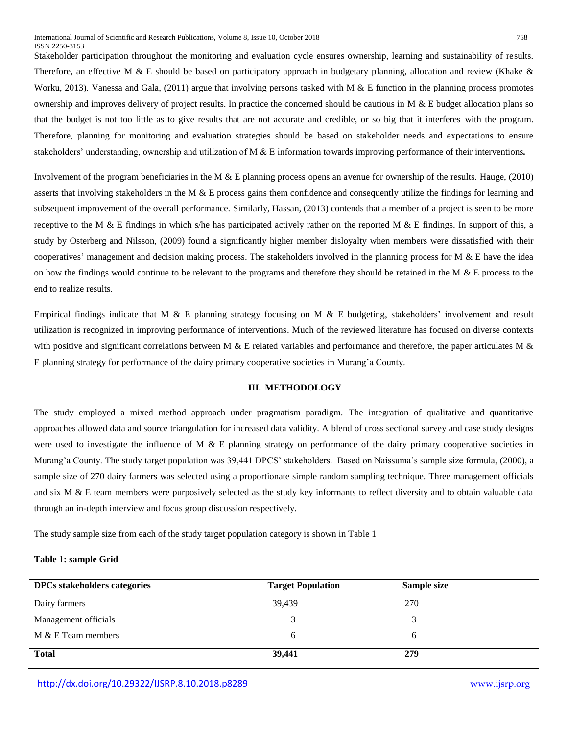Stakeholder participation throughout the monitoring and evaluation cycle ensures ownership, learning and sustainability of results. Therefore, an effective M & E should be based on participatory approach in budgetary planning, allocation and review (Khake & Worku, 2013). Vanessa and Gala,  $(2011)$  argue that involving persons tasked with M & E function in the planning process promotes ownership and improves delivery of project results. In practice the concerned should be cautious in  $M \& E$  budget allocation plans so that the budget is not too little as to give results that are not accurate and credible, or so big that it interferes with the program. Therefore, planning for monitoring and evaluation strategies should be based on stakeholder needs and expectations to ensure stakeholders' understanding, ownership and utilization of M & E information towards improving performance of their interventions*.*

Involvement of the program beneficiaries in the M & E planning process opens an avenue for ownership of the results. Hauge, (2010) asserts that involving stakeholders in the M & E process gains them confidence and consequently utilize the findings for learning and subsequent improvement of the overall performance. Similarly, Hassan, (2013) contends that a member of a project is seen to be more receptive to the M & E findings in which s/he has participated actively rather on the reported M & E findings. In support of this, a study by Osterberg and Nilsson, (2009) found a significantly higher member disloyalty when members were dissatisfied with their cooperatives' management and decision making process. The stakeholders involved in the planning process for  $M \& E$  have the idea on how the findings would continue to be relevant to the programs and therefore they should be retained in the M  $\&$  E process to the end to realize results.

Empirical findings indicate that M  $\&$  E planning strategy focusing on M  $\&$  E budgeting, stakeholders' involvement and result utilization is recognized in improving performance of interventions. Much of the reviewed literature has focused on diverse contexts with positive and significant correlations between M & E related variables and performance and therefore, the paper articulates M & E planning strategy for performance of the dairy primary cooperative societies in Murang'a County.

## **III. METHODOLOGY**

The study employed a mixed method approach under pragmatism paradigm. The integration of qualitative and quantitative approaches allowed data and source triangulation for increased data validity. A blend of cross sectional survey and case study designs were used to investigate the influence of M  $\&$  E planning strategy on performance of the dairy primary cooperative societies in Murang'a County. The study target population was 39,441 DPCS' stakeholders. Based on Naissuma's sample size formula, (2000), a sample size of 270 dairy farmers was selected using a proportionate simple random sampling technique. Three management officials and six  $M \& E$  team members were purposively selected as the study key informants to reflect diversity and to obtain valuable data through an in-depth interview and focus group discussion respectively.

The study sample size from each of the study target population category is shown in Table 1

### **Table 1: sample Grid**

| <b>DPCs</b> stakeholders categories | <b>Target Population</b> | Sample size |
|-------------------------------------|--------------------------|-------------|
| Dairy farmers                       | 39,439                   | 270         |
| Management officials                |                          |             |
| $M & E$ Team members                | h                        |             |
| <b>Total</b>                        | 39,441                   | 279         |

<http://dx.doi.org/10.29322/IJSRP.8.10.2018.p8289> [www.ijsrp.org](http://ijsrp.org/)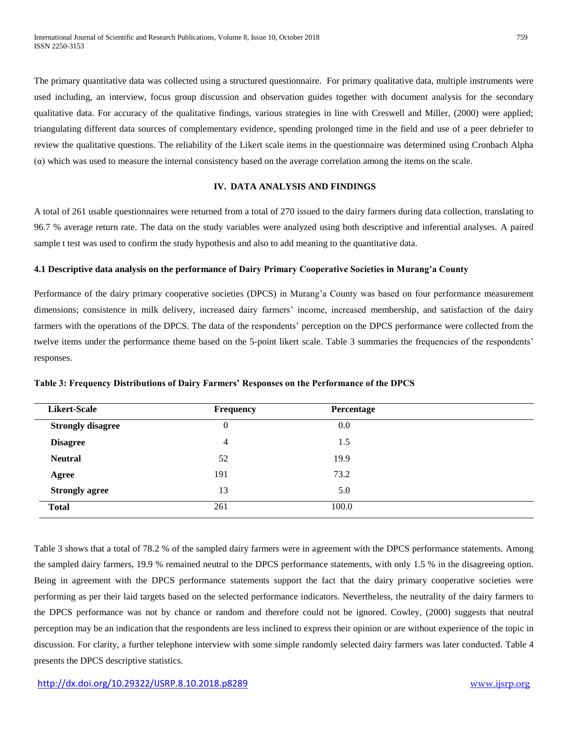The primary quantitative data was collected using a structured questionnaire. For primary qualitative data, multiple instruments were used including, an interview, focus group discussion and observation guides together with document analysis for the secondary qualitative data. For accuracy of the qualitative findings, various strategies in line with Creswell and Miller, (2000) were applied; triangulating different data sources of complementary evidence, spending prolonged time in the field and use of a peer debriefer to review the qualitative questions. The reliability of the Likert scale items in the questionnaire was determined using Cronbach Alpha (α) which was used to measure the internal consistency based on the average correlation among the items on the scale.

# **IV. DATA ANALYSIS AND FINDINGS**

A total of 261 usable questionnaires were returned from a total of 270 issued to the dairy farmers during data collection, translating to 96.7 % average return rate. The data on the study variables were analyzed using both descriptive and inferential analyses. A paired sample t test was used to confirm the study hypothesis and also to add meaning to the quantitative data.

#### **4.1 Descriptive data analysis on the performance of Dairy Primary Cooperative Societies in Murang'a County**

Performance of the dairy primary cooperative societies (DPCS) in Murang'a County was based on four performance measurement dimensions; consistence in milk delivery, increased dairy farmers' income, increased membership, and satisfaction of the dairy farmers with the operations of the DPCS. The data of the respondents' perception on the DPCS performance were collected from the twelve items under the performance theme based on the 5-point likert scale. Table 3 summaries the frequencies of the respondents' responses.

| <b>Likert-Scale</b>      | Frequency | Percentage |  |
|--------------------------|-----------|------------|--|
| <b>Strongly disagree</b> | 0         | 0.0        |  |
| <b>Disagree</b>          | 4         | 1.5        |  |
| <b>Neutral</b>           | 52        | 19.9       |  |
| Agree                    | 191       | 73.2       |  |
| <b>Strongly agree</b>    | 13        | 5.0        |  |
| <b>Total</b>             | 261       | 100.0      |  |

**Table 3: Frequency Distributions of Dairy Farmers' Responses on the Performance of the DPCS** 

Table 3 shows that a total of 78.2 % of the sampled dairy farmers were in agreement with the DPCS performance statements. Among the sampled dairy farmers, 19.9 % remained neutral to the DPCS performance statements, with only 1.5 % in the disagreeing option. Being in agreement with the DPCS performance statements support the fact that the dairy primary cooperative societies were performing as per their laid targets based on the selected performance indicators. Nevertheless, the neutrality of the dairy farmers to the DPCS performance was not by chance or random and therefore could not be ignored. Cowley, (2000) suggests that neutral perception may be an indication that the respondents are less inclined to express their opinion or are without experience of the topic in discussion. For clarity, a further telephone interview with some simple randomly selected dairy farmers was later conducted. Table 4 presents the DPCS descriptive statistics.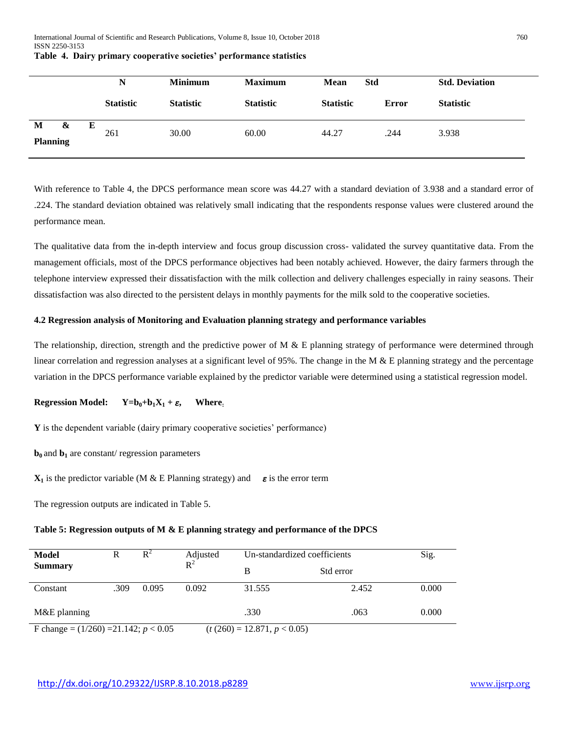|                           | N |                  | <b>Minimum</b>   | <b>Maximum</b>   | Mean<br><b>Std</b> |              | <b>Std. Deviation</b> |  |
|---------------------------|---|------------------|------------------|------------------|--------------------|--------------|-----------------------|--|
|                           |   | <b>Statistic</b> | <b>Statistic</b> | <b>Statistic</b> | <b>Statistic</b>   | <b>Error</b> | <b>Statistic</b>      |  |
| M<br>&<br><b>Planning</b> | Е | 261              | 30.00            | 60.00            | 44.27              | .244         | 3.938                 |  |

**Table 4. Dairy primary cooperative societies' performance statistics**

With reference to Table 4, the DPCS performance mean score was 44.27 with a standard deviation of 3.938 and a standard error of .224. The standard deviation obtained was relatively small indicating that the respondents response values were clustered around the performance mean.

The qualitative data from the in-depth interview and focus group discussion cross- validated the survey quantitative data. From the management officials, most of the DPCS performance objectives had been notably achieved. However, the dairy farmers through the telephone interview expressed their dissatisfaction with the milk collection and delivery challenges especially in rainy seasons. Their dissatisfaction was also directed to the persistent delays in monthly payments for the milk sold to the cooperative societies.

## **4.2 Regression analysis of Monitoring and Evaluation planning strategy and performance variables**

The relationship, direction, strength and the predictive power of M  $\&$  E planning strategy of performance were determined through linear correlation and regression analyses at a significant level of 95%. The change in the M & E planning strategy and the percentage variation in the DPCS performance variable explained by the predictor variable were determined using a statistical regression model.

# **Regression Model:**  $Y=b_0+b_1X_1+\varepsilon$ , Where<sub>:</sub>

**Y** is the dependent variable (dairy primary cooperative societies' performance)

 **and**  $**b**<sub>1</sub>$  **are constant/ regression parameters** 

 $X_1$  is the predictor variable (M & E Planning strategy) and  $\varepsilon$  is the error term

The regression outputs are indicated in Table 5.

## **Table 5: Regression outputs of M & E planning strategy and performance of the DPCS**

| Model<br>R                                |      | $R^2$ | Adjusted  | Un-standardized coefficients   |           | Sig.  |
|-------------------------------------------|------|-------|-----------|--------------------------------|-----------|-------|
| <b>Summary</b>                            |      |       | $\rm R^2$ | B                              | Std error |       |
| Constant                                  | .309 | 0.095 | 0.092     | 31.555                         | 2.452     | 0.000 |
| $M&E$ planning                            |      |       |           | .330                           | .063      | 0.000 |
| F change = $(1/260)$ = 21.142; $p < 0.05$ |      |       |           | $(t (260) = 12.871, p < 0.05)$ |           |       |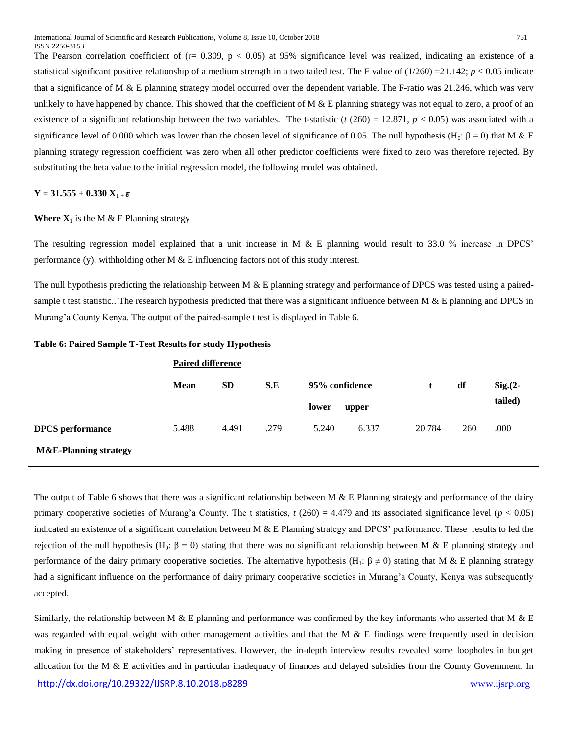The Pearson correlation coefficient of  $(r= 0.309, p < 0.05)$  at 95% significance level was realized, indicating an existence of a statistical significant positive relationship of a medium strength in a two tailed test. The F value of  $(1/260) = 21.142$ ;  $p < 0.05$  indicate that a significance of M  $\&$  E planning strategy model occurred over the dependent variable. The F-ratio was 21.246, which was very unlikely to have happened by chance. This showed that the coefficient of  $M \& E$  planning strategy was not equal to zero, a proof of an existence of a significant relationship between the two variables. The t-statistic  $(t (260) = 12.871, p < 0.05)$  was associated with a significance level of 0.000 which was lower than the chosen level of significance of 0.05. The null hypothesis (H<sub>0</sub>:  $\beta = 0$ ) that M & E planning strategy regression coefficient was zero when all other predictor coefficients were fixed to zero was therefore rejected. By substituting the beta value to the initial regression model, the following model was obtained.

 $Y = 31.555 + 0.330 X_{1+} \varepsilon$ 

### **Where**  $X_1$  is the M & E Planning strategy

The resulting regression model explained that a unit increase in M & E planning would result to 33.0 % increase in DPCS' performance (y); withholding other M  $\&$  E influencing factors not of this study interest.

The null hypothesis predicting the relationship between M & E planning strategy and performance of DPCS was tested using a pairedsample t test statistic.. The research hypothesis predicted that there was a significant influence between M  $\&$  E planning and DPCS in Murang'a County Kenya. The output of the paired-sample t test is displayed in Table 6.

|                                  |             | <b>Paired difference</b> |      |                |       |        |     |             |
|----------------------------------|-------------|--------------------------|------|----------------|-------|--------|-----|-------------|
|                                  | <b>Mean</b> | <b>SD</b>                | S.E  | 95% confidence |       |        | df  | $Sig(2 - )$ |
|                                  |             |                          |      | lower          | upper |        |     | tailed)     |
| <b>DPCS</b> performance          | 5.488       | 4.491                    | .279 | 5.240          | 6.337 | 20.784 | 260 | .000        |
| <b>M&amp;E-Planning strategy</b> |             |                          |      |                |       |        |     |             |

**Table 6: Paired Sample T-Test Results for study Hypothesis** 

The output of Table 6 shows that there was a significant relationship between M  $\&$  E Planning strategy and performance of the dairy primary cooperative societies of Murang'a County. The t statistics,  $t(260) = 4.479$  and its associated significance level ( $p < 0.05$ ) indicated an existence of a significant correlation between M & E Planning strategy and DPCS' performance. These results to led the rejection of the null hypothesis (H<sub>0</sub>: β = 0) stating that there was no significant relationship between M & E planning strategy and performance of the dairy primary cooperative societies. The alternative hypothesis (H<sub>1</sub>:  $\beta \neq 0$ ) stating that M & E planning strategy had a significant influence on the performance of dairy primary cooperative societies in Murang'a County, Kenya was subsequently accepted.

<http://dx.doi.org/10.29322/IJSRP.8.10.2018.p8289> [www.ijsrp.org](http://ijsrp.org/) Similarly, the relationship between M & E planning and performance was confirmed by the key informants who asserted that M & E was regarded with equal weight with other management activities and that the M & E findings were frequently used in decision making in presence of stakeholders' representatives. However, the in-depth interview results revealed some loopholes in budget allocation for the M & E activities and in particular inadequacy of finances and delayed subsidies from the County Government. In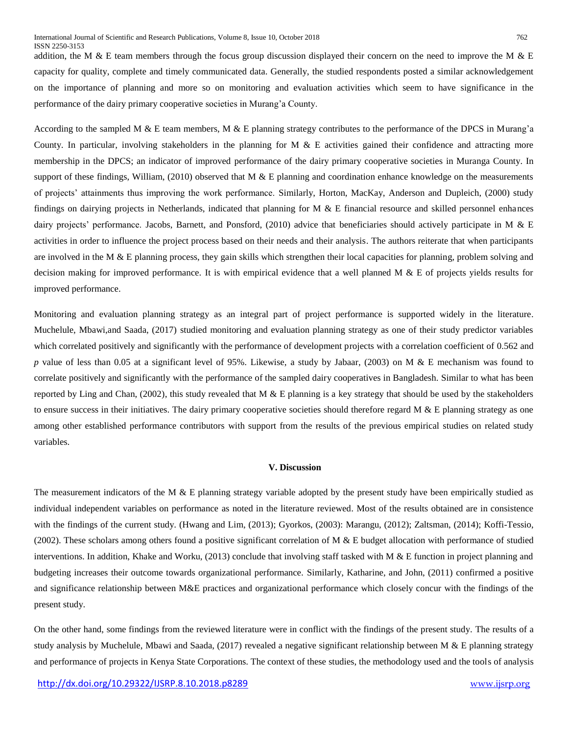addition, the M & E team members through the focus group discussion displayed their concern on the need to improve the M & E capacity for quality, complete and timely communicated data. Generally, the studied respondents posted a similar acknowledgement on the importance of planning and more so on monitoring and evaluation activities which seem to have significance in the performance of the dairy primary cooperative societies in Murang'a County.

According to the sampled M  $\&$  E team members, M  $\&$  E planning strategy contributes to the performance of the DPCS in Murang'a County. In particular, involving stakeholders in the planning for  $M \& E$  activities gained their confidence and attracting more membership in the DPCS; an indicator of improved performance of the dairy primary cooperative societies in Muranga County. In support of these findings, William, (2010) observed that M  $\&$  E planning and coordination enhance knowledge on the measurements of projects' attainments thus improving the work performance. Similarly, Horton, MacKay, Anderson and Dupleich, (2000) study findings on dairying projects in Netherlands, indicated that planning for M & E financial resource and skilled personnel enhances dairy projects' performance. Jacobs, Barnett, and Ponsford, (2010) advice that beneficiaries should actively participate in M & E activities in order to influence the project process based on their needs and their analysis. The authors reiterate that when participants are involved in the M  $\&$  E planning process, they gain skills which strengthen their local capacities for planning, problem solving and decision making for improved performance. It is with empirical evidence that a well planned  $M \& E$  of projects yields results for improved performance.

Monitoring and evaluation planning strategy as an integral part of project performance is supported widely in the literature. Muchelule, Mbawi,and Saada, (2017) studied monitoring and evaluation planning strategy as one of their study predictor variables which correlated positively and significantly with the performance of development projects with a correlation coefficient of 0.562 and *p* value of less than 0.05 at a significant level of 95%. Likewise, a study by Jabaar, (2003) on M & E mechanism was found to correlate positively and significantly with the performance of the sampled dairy cooperatives in Bangladesh. Similar to what has been reported by Ling and Chan, (2002), this study revealed that M  $\&$  E planning is a key strategy that should be used by the stakeholders to ensure success in their initiatives. The dairy primary cooperative societies should therefore regard  $M \& E$  planning strategy as one among other established performance contributors with support from the results of the previous empirical studies on related study variables.

#### **V. Discussion**

The measurement indicators of the M & E planning strategy variable adopted by the present study have been empirically studied as individual independent variables on performance as noted in the literature reviewed. Most of the results obtained are in consistence with the findings of the current study. (Hwang and Lim, (2013); Gyorkos, (2003): Marangu, (2012); Zaltsman, (2014); Koffi-Tessio, (2002). These scholars among others found a positive significant correlation of M  $\&$  E budget allocation with performance of studied interventions. In addition, Khake and Worku, (2013) conclude that involving staff tasked with M  $\&$  E function in project planning and budgeting increases their outcome towards organizational performance. Similarly, Katharine, and John, (2011) confirmed a positive and significance relationship between M&E practices and organizational performance which closely concur with the findings of the present study.

On the other hand, some findings from the reviewed literature were in conflict with the findings of the present study. The results of a study analysis by Muchelule, Mbawi and Saada, (2017) revealed a negative significant relationship between M & E planning strategy and performance of projects in Kenya State Corporations. The context of these studies, the methodology used and the tools of analysis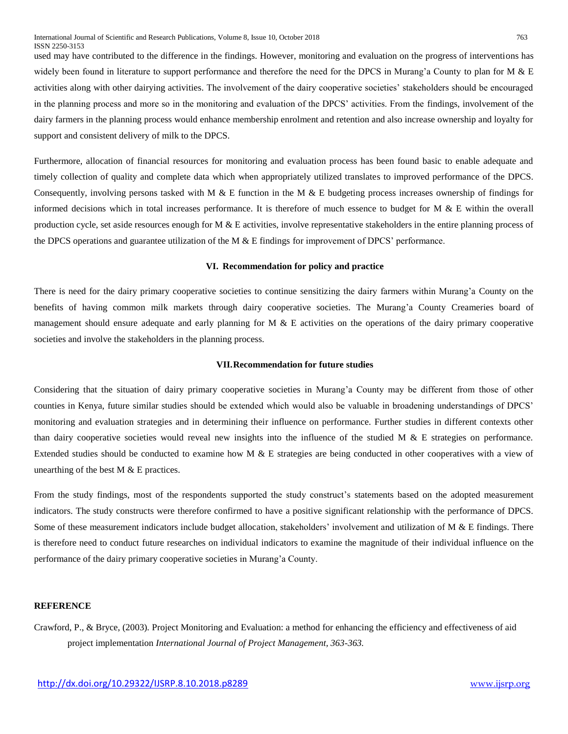used may have contributed to the difference in the findings. However, monitoring and evaluation on the progress of interventions has widely been found in literature to support performance and therefore the need for the DPCS in Murang'a County to plan for M & E activities along with other dairying activities. The involvement of the dairy cooperative societies' stakeholders should be encouraged in the planning process and more so in the monitoring and evaluation of the DPCS' activities. From the findings, involvement of the dairy farmers in the planning process would enhance membership enrolment and retention and also increase ownership and loyalty for support and consistent delivery of milk to the DPCS.

Furthermore, allocation of financial resources for monitoring and evaluation process has been found basic to enable adequate and timely collection of quality and complete data which when appropriately utilized translates to improved performance of the DPCS. Consequently, involving persons tasked with M & E function in the M & E budgeting process increases ownership of findings for informed decisions which in total increases performance. It is therefore of much essence to budget for  $M \& E$  within the overall production cycle, set aside resources enough for  $M \& E$  activities, involve representative stakeholders in the entire planning process of the DPCS operations and guarantee utilization of the M  $\&$  E findings for improvement of DPCS' performance.

#### **VI. Recommendation for policy and practice**

There is need for the dairy primary cooperative societies to continue sensitizing the dairy farmers within Murang'a County on the benefits of having common milk markets through dairy cooperative societies. The Murang'a County Creameries board of management should ensure adequate and early planning for  $M \& E$  activities on the operations of the dairy primary cooperative societies and involve the stakeholders in the planning process.

### **VII.Recommendation for future studies**

Considering that the situation of dairy primary cooperative societies in Murang'a County may be different from those of other counties in Kenya, future similar studies should be extended which would also be valuable in broadening understandings of DPCS' monitoring and evaluation strategies and in determining their influence on performance. Further studies in different contexts other than dairy cooperative societies would reveal new insights into the influence of the studied M  $\&$  E strategies on performance. Extended studies should be conducted to examine how M & E strategies are being conducted in other cooperatives with a view of unearthing of the best  $M & E$  practices.

From the study findings, most of the respondents supported the study construct's statements based on the adopted measurement indicators. The study constructs were therefore confirmed to have a positive significant relationship with the performance of DPCS. Some of these measurement indicators include budget allocation, stakeholders' involvement and utilization of M & E findings. There is therefore need to conduct future researches on individual indicators to examine the magnitude of their individual influence on the performance of the dairy primary cooperative societies in Murang'a County.

## **REFERENCE**

Crawford, P., & Bryce, (2003). Project Monitoring and Evaluation: a method for enhancing the efficiency and effectiveness of aid project implementation *International Journal of Project Management, 363-363.*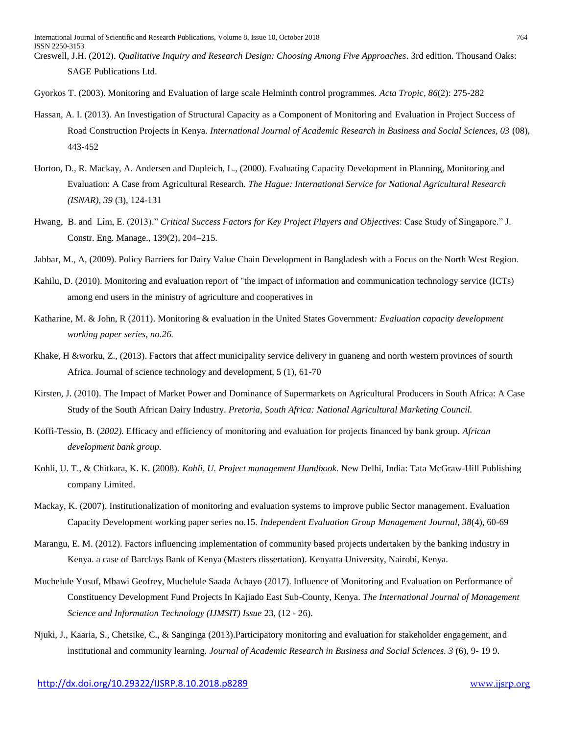- Creswell, J.H. (2012). *Qualitative Inquiry and Research Design: Choosing Among Five Approaches*. 3rd edition. Thousand Oaks: SAGE Publications Ltd.
- Gyorkos T. (2003). Monitoring and Evaluation of large scale Helminth control programmes. *Acta Tropic, 86*(2): 275-282
- Hassan, A. I. (2013). An Investigation of Structural Capacity as a Component of Monitoring and Evaluation in Project Success of Road Construction Projects in Kenya. *International Journal of Academic Research in Business and Social Sciences, 03* (08), 443-452
- Horton, D., R. Mackay, A. Andersen and Dupleich, L., (2000). Evaluating Capacity Development in Planning, Monitoring and Evaluation: A Case from Agricultural Research. *The Hague: International Service for National Agricultural Research (ISNAR)*, *39* (3), 124-131
- Hwang, B. and Lim, E. (2013)." *Critical Success Factors for Key Project Players and Objectives*: Case Study of Singapore." J. Constr. Eng. Manage., 139(2), 204–215.
- Jabbar, M., A, (2009). Policy Barriers for Dairy Value Chain Development in Bangladesh with a Focus on the North West Region.
- Kahilu, D. (2010). Monitoring and evaluation report of "the impact of information and communication technology service (ICTs) among end users in the ministry of agriculture and cooperatives in
- Katharine, M. & John, R (2011). Monitoring & evaluation in the United States Government*: Evaluation capacity development working paper series, no.26.*
- Khake, H &worku, Z., (2013). Factors that affect municipality service delivery in guaneng and north western provinces of sourth Africa. Journal of science technology and development, 5 (1), 61-70
- Kirsten, J. (2010). The Impact of Market Power and Dominance of Supermarkets on Agricultural Producers in South Africa: A Case Study of the South African Dairy Industry. *Pretoria, South Africa: National Agricultural Marketing Council.*
- Koffi-Tessio, B. (*2002).* Efficacy and efficiency of monitoring and evaluation for projects financed by bank group*. African development bank group.*
- Kohli, U. T., & Chitkara, K. K. (2008). *Kohli, U. Project management Handbook.* New Delhi, India: Tata McGraw-Hill Publishing company Limited.
- Mackay, K. (2007). Institutionalization of monitoring and evaluation systems to improve public Sector management. Evaluation Capacity Development working paper series no.15. *Independent Evaluation Group Management Journal, 38*(4), 60-69
- Marangu, E. M. (2012). Factors influencing implementation of community based projects undertaken by the banking industry in Kenya. a case of Barclays Bank of Kenya (Masters dissertation). Kenyatta University, Nairobi, Kenya.
- Muchelule Yusuf, Mbawi Geofrey, Muchelule Saada Achayo (2017). Influence of Monitoring and Evaluation on Performance of Constituency Development Fund Projects In Kajiado East Sub-County, Kenya. *The International Journal of Management Science and Information Technology (IJMSIT) Issue* 23, (12 - 26).
- Njuki, J., Kaaria, S., Chetsike, C., & Sanginga (2013).Participatory monitoring and evaluation for stakeholder engagement, and institutional and community learning. *Journal of Academic Research in Business and Social Sciences. 3* (6), 9- 19 9.